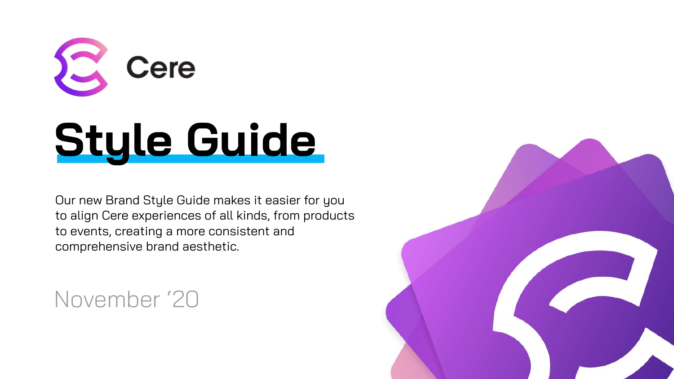

# **Style Guide**

Our new Brand Style Guide makes it easier for you to align Cere experiences of all kinds, from products to events, creating a more consistent and comprehensive brand aesthetic.

November '20

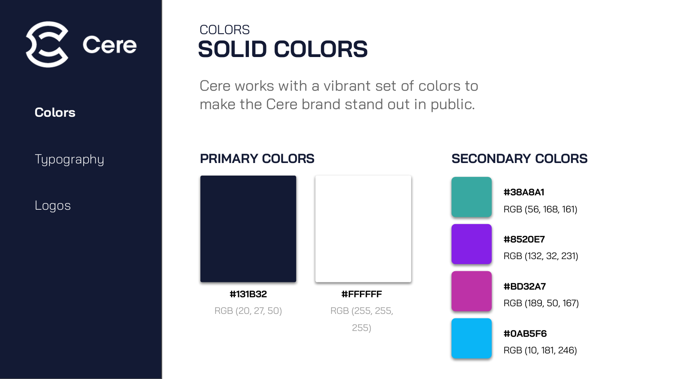

**Typography** 

Logos

### **SOLID COLORS** COLORS

Cere works with a vibrant set of colors to make the Cere brand stand out in public.



#### **PRIMARY COLORS SECONDARY COLORS**

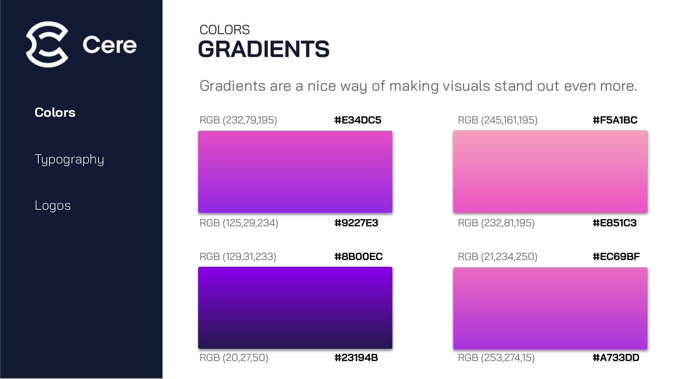

**Typography** 

Logos

#### **GRADIENTS** COLORS

Gradients are a nice way of making visuals stand out even more.

| RGB (232,79,195) | #E34DC5 | RGB (245,161,195) | #F5A1BC |
|------------------|---------|-------------------|---------|
|                  |         |                   |         |
|                  |         |                   |         |
|                  |         |                   |         |
|                  |         |                   |         |
| RGB (125,29,234) | #9227E3 | RGB (232,81,195)  | #E851C3 |
|                  |         |                   |         |
| RGB (129.31,233) | #8B00EC | RGB (21,234,250)  | #EC69BF |
|                  |         |                   |         |
|                  |         |                   |         |
|                  |         |                   |         |
|                  |         |                   |         |
| RGB (20,27,50)   | #23194B | RGB (253,274,15)  | #A733DD |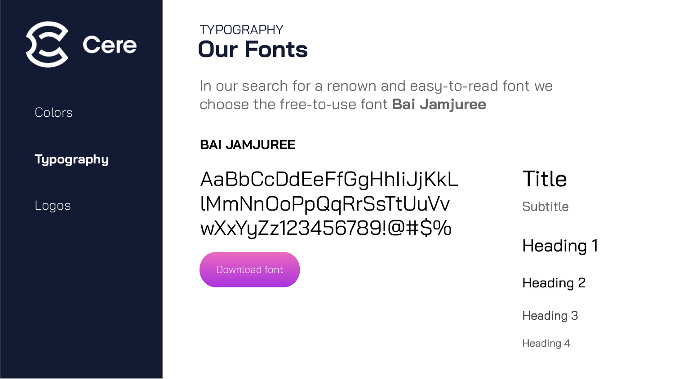

**Typography**

Logos

### **Our Fonts** TYPOGRAPHY

In our search for a renown and easy-to-read font we choose the free-to-use font **Bai Jamjuree**

#### **BAI JAMJUREE**

AaBbCcDdEeFfGgHhIiJjKkL lMmNnOoPpQqRrSsTtUuVv wXxYyZz123456789!@#\$%

**Title** 

Subtitle

Heading 1

Heading 2

Heading 3

Heading 4

Download font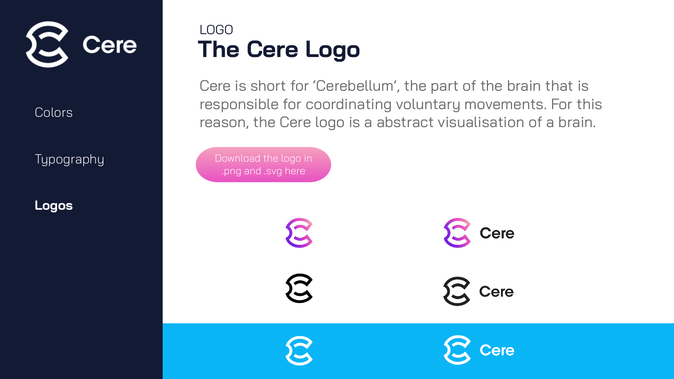

Typography

**Logos**

## **The Cere Logo** LOGO

Cere is short for 'Cerebellum', the part of the brain that is responsible for coordinating voluntary movements. For this reason, the Cere logo is a abstract visualisation of a brain.